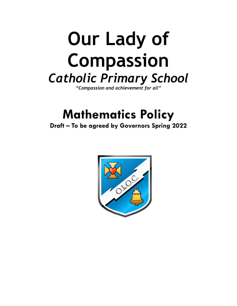# **Our Lady of Compassion** *Catholic Primary School*

*"Compassion and achievement for all"*

# **Mathematics Policy**

**Draft – To be agreed by Governors Spring 2022**

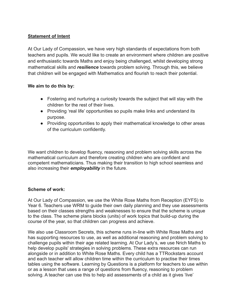# **Statement of Intent**

At Our Lady of Compassion, we have very high standards of expectations from both teachers and pupils. We would like to create an environment where children are positive and enthusiastic towards Maths and enjoy being challenged, whilst developing strong mathematical skills and *resilience* towards problem solving. Through this, we believe that children will be engaged with Mathematics and flourish to reach their potential.

# **We aim to do this by:**

- Fostering and nurturing a curiosity towards the subject that will stay with the children for the rest of their lives.
- Providing 'real life' opportunities so pupils make links and understand its purpose.
- Providing opportunities to apply their mathematical knowledge to other areas of the curriculum confidently.

We want children to develop fluency, reasoning and problem solving skills across the mathematical curriculum and therefore creating children who are confident and competent mathematicians. Thus making their transition to high school seamless and also increasing their *employability* in the future.

# **Scheme of work:**

At Our Lady of Compassion, we use the White Rose Maths from Reception (EYFS) to Year 6. Teachers use WRM to guide their own daily planning and they use assessments based on their classes strengths and weaknesses to ensure that the scheme is unique to the class. The scheme plans blocks (units) of work topics that build-up during the course of the year, so that children can progress and achieve.

We also use Classroom Secrets, this scheme runs in-line with White Rose Maths and has supporting resources to use, as well as additional reasoning and problem solving to challenge pupils within their age related learning. At Our Lady's, we use Nrich Maths to help develop pupils' strategies in solving problems. These extra resources can run alongside or in addition to White Rose Maths. Every child has a TTRockstars account and each teacher will allow children time within the curriculum to practise their times tables using the software. Learning by Questions is a platform for teachers to use within or as a lesson that uses a range of questions from fluency, reasoning to problem solving. A teacher can use this to help aid assessments of a child as it gives 'live'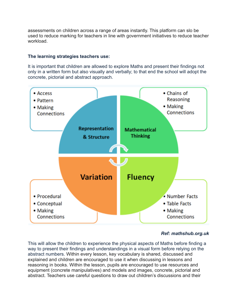assessments on children across a range of areas instantly. This platform can slo be used to reduce marking for teachers in line with government initiatives to reduce teacher workload.

#### **The learning strategies teachers use:**

It is important that children are allowed to explore Maths and present their findings not only in a written form but also visually and verbally; to that end the school will adopt the concrete, pictorial and abstract approach.



# *Ref: mathshub.org.uk*

This will allow the children to experience the physical aspects of Maths before finding a way to present their findings and understandings in a visual form before relying on the abstract numbers. Within every lesson, key vocabulary is shared, discussed and explained and children are encouraged to use it when discussing in lessons and reasoning in books. Within the lesson, pupils are encouraged to use resources and equipment (concrete manipulatives) and models and images, concrete, pictorial and abstract. Teachers use careful questions to draw out children's discussions and their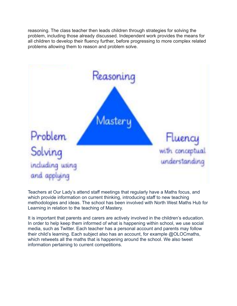reasoning. The class teacher then leads children through strategies for solving the problem, including those already discussed. Independent work provides the means for all children to develop their fluency further, before progressing to more complex related problems allowing them to reason and problem solve.



Teachers at Our Lady's attend staff meetings that regularly have a Maths focus, and which provide information on current thinking, introducing staff to new teaching methodologies and ideas. The school has been involved with North West Maths Hub for Learning in relation to the teaching of Mastery.

It is important that parents and carers are actively involved in the children's education. In order to help keep them informed of what is happening within school, we use social media, such as Twitter. Each teacher has a personal account and parents may follow their child's learning. Each subject also has an account, for example @OLOCmaths, which retweets all the maths that is happening around the school. We also tweet information pertaining to current competitions.